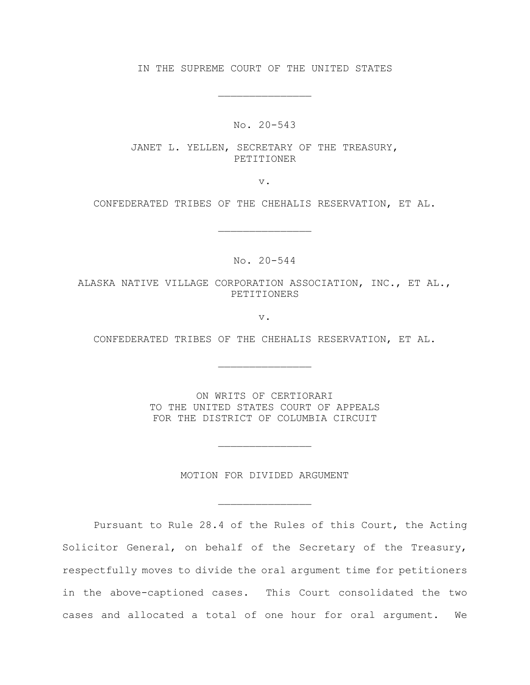IN THE SUPREME COURT OF THE UNITED STATES

\_\_\_\_\_\_\_\_\_\_\_\_\_\_\_

No. 20-543

JANET L. YELLEN, SECRETARY OF THE TREASURY, PETITIONER

v.

CONFEDERATED TRIBES OF THE CHEHALIS RESERVATION, ET AL.

\_\_\_\_\_\_\_\_\_\_\_\_\_\_\_

No. 20-544

ALASKA NATIVE VILLAGE CORPORATION ASSOCIATION, INC., ET AL., PETITIONERS

v.

CONFEDERATED TRIBES OF THE CHEHALIS RESERVATION, ET AL.

\_\_\_\_\_\_\_\_\_\_\_\_\_\_\_

ON WRITS OF CERTIORARI TO THE UNITED STATES COURT OF APPEALS FOR THE DISTRICT OF COLUMBIA CIRCUIT

MOTION FOR DIVIDED ARGUMENT

\_\_\_\_\_\_\_\_\_\_\_\_\_\_\_

\_\_\_\_\_\_\_\_\_\_\_\_\_\_\_

Pursuant to Rule 28.4 of the Rules of this Court, the Acting Solicitor General, on behalf of the Secretary of the Treasury, respectfully moves to divide the oral argument time for petitioners in the above-captioned cases. This Court consolidated the two cases and allocated a total of one hour for oral argument. We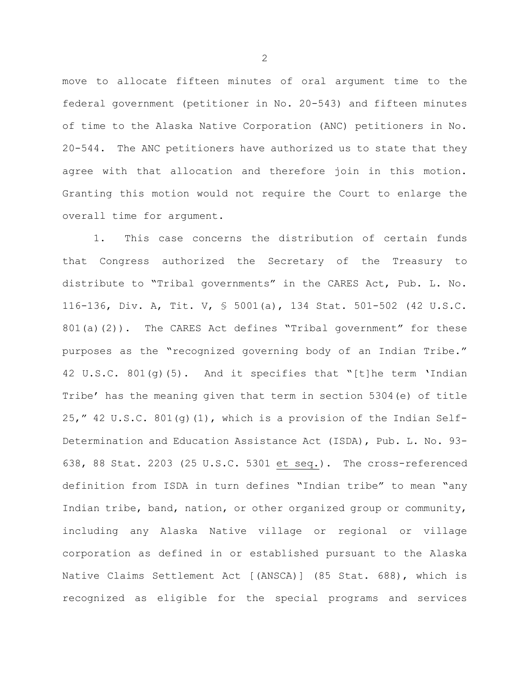move to allocate fifteen minutes of oral argument time to the federal government (petitioner in No. 20-543) and fifteen minutes of time to the Alaska Native Corporation (ANC) petitioners in No. 20-544. The ANC petitioners have authorized us to state that they agree with that allocation and therefore join in this motion. Granting this motion would not require the Court to enlarge the overall time for argument.

1. This case concerns the distribution of certain funds that Congress authorized the Secretary of the Treasury to distribute to "Tribal governments" in the CARES Act, Pub. L. No. 116-136, Div. A, Tit. V, § 5001(a), 134 Stat. 501-502 (42 U.S.C. 801(a)(2)). The CARES Act defines "Tribal government" for these purposes as the "recognized governing body of an Indian Tribe." 42 U.S.C. 801(g)(5). And it specifies that "[t]he term 'Indian Tribe' has the meaning given that term in section 5304(e) of title 25," 42 U.S.C. 801(g)(1), which is a provision of the Indian Self-Determination and Education Assistance Act (ISDA), Pub. L. No. 93- 638, 88 Stat. 2203 (25 U.S.C. 5301 et seq.). The cross-referenced definition from ISDA in turn defines "Indian tribe" to mean "any Indian tribe, band, nation, or other organized group or community, including any Alaska Native village or regional or village corporation as defined in or established pursuant to the Alaska Native Claims Settlement Act [(ANSCA)] (85 Stat. 688), which is recognized as eligible for the special programs and services

2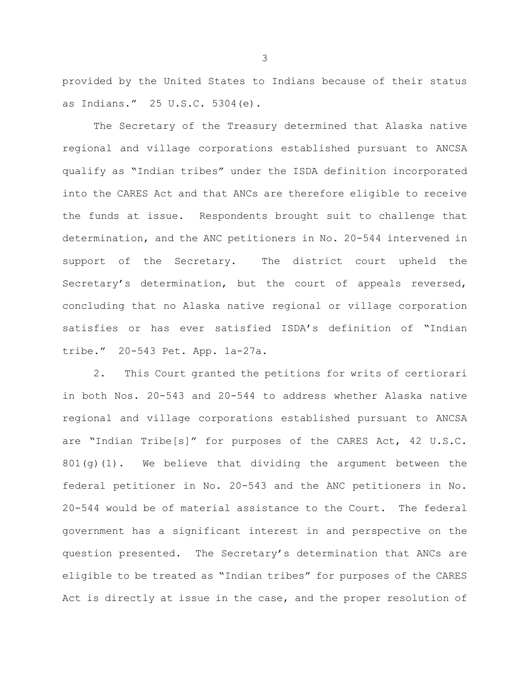provided by the United States to Indians because of their status as Indians." 25 U.S.C. 5304(e).

The Secretary of the Treasury determined that Alaska native regional and village corporations established pursuant to ANCSA qualify as "Indian tribes" under the ISDA definition incorporated into the CARES Act and that ANCs are therefore eligible to receive the funds at issue. Respondents brought suit to challenge that determination, and the ANC petitioners in No. 20-544 intervened in support of the Secretary. The district court upheld the Secretary's determination, but the court of appeals reversed, concluding that no Alaska native regional or village corporation satisfies or has ever satisfied ISDA's definition of "Indian tribe." 20-543 Pet. App. 1a-27a.

2. This Court granted the petitions for writs of certiorari in both Nos. 20-543 and 20-544 to address whether Alaska native regional and village corporations established pursuant to ANCSA are "Indian Tribe[s]" for purposes of the CARES Act, 42 U.S.C.  $801(q)(1)$ . We believe that dividing the argument between the federal petitioner in No. 20-543 and the ANC petitioners in No. 20-544 would be of material assistance to the Court. The federal government has a significant interest in and perspective on the question presented. The Secretary's determination that ANCs are eligible to be treated as "Indian tribes" for purposes of the CARES Act is directly at issue in the case, and the proper resolution of

3